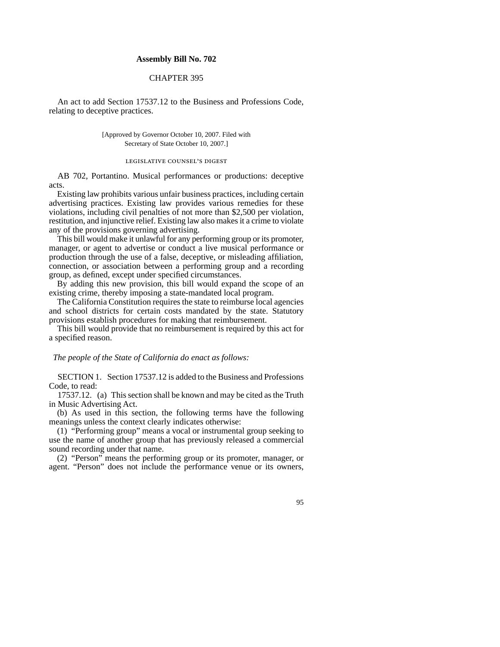## **Assembly Bill No. 702**

## CHAPTER 395

An act to add Section 17537.12 to the Business and Professions Code, relating to deceptive practices.

> [Approved by Governor October 10, 2007. Filed with Secretary of State October 10, 2007.]

## LEGISLATIVE COUNSEL'S DIGEST

AB 702, Portantino. Musical performances or productions: deceptive acts.

Existing law prohibits various unfair business practices, including certain advertising practices. Existing law provides various remedies for these violations, including civil penalties of not more than \$2,500 per violation, restitution, and injunctive relief. Existing law also makes it a crime to violate any of the provisions governing advertising.

This bill would make it unlawful for any performing group or its promoter, manager, or agent to advertise or conduct a live musical performance or production through the use of a false, deceptive, or misleading affiliation, connection, or association between a performing group and a recording group, as defined, except under specified circumstances.

By adding this new provision, this bill would expand the scope of an existing crime, thereby imposing a state-mandated local program.

The California Constitution requires the state to reimburse local agencies and school districts for certain costs mandated by the state. Statutory provisions establish procedures for making that reimbursement.

This bill would provide that no reimbursement is required by this act for a specified reason.

*The people of the State of California do enact as follows:*

SECTION 1. Section 17537.12 is added to the Business and Professions Code, to read:

17537.12. (a) This section shall be known and may be cited as the Truth in Music Advertising Act.

(b) As used in this section, the following terms have the following meanings unless the context clearly indicates otherwise:

(1) "Performing group" means a vocal or instrumental group seeking to use the name of another group that has previously released a commercial sound recording under that name.

(2) "Person" means the performing group or its promoter, manager, or agent. "Person" does not include the performance venue or its owners,

95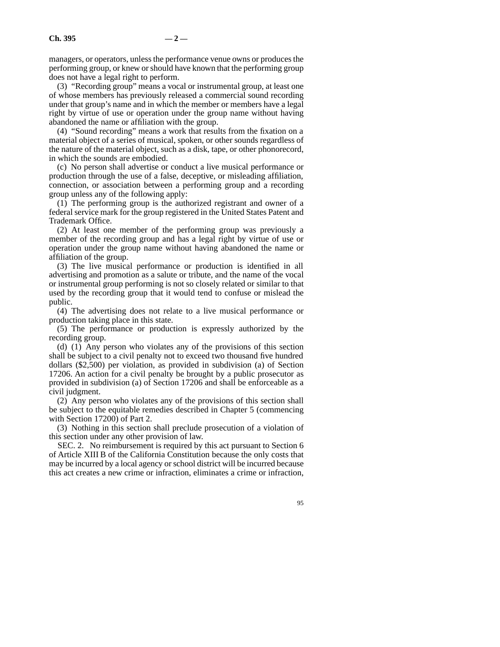managers, or operators, unless the performance venue owns or produces the performing group, or knew or should have known that the performing group does not have a legal right to perform.

(3) "Recording group" means a vocal or instrumental group, at least one of whose members has previously released a commercial sound recording under that group's name and in which the member or members have a legal right by virtue of use or operation under the group name without having abandoned the name or affiliation with the group.

(4) "Sound recording" means a work that results from the fixation on a material object of a series of musical, spoken, or other sounds regardless of the nature of the material object, such as a disk, tape, or other phonorecord, in which the sounds are embodied.

(c) No person shall advertise or conduct a live musical performance or production through the use of a false, deceptive, or misleading affiliation, connection, or association between a performing group and a recording group unless any of the following apply:

(1) The performing group is the authorized registrant and owner of a federal service mark for the group registered in the United States Patent and Trademark Office.

(2) At least one member of the performing group was previously a member of the recording group and has a legal right by virtue of use or operation under the group name without having abandoned the name or affiliation of the group.

(3) The live musical performance or production is identified in all advertising and promotion as a salute or tribute, and the name of the vocal or instrumental group performing is not so closely related or similar to that used by the recording group that it would tend to confuse or mislead the public.

(4) The advertising does not relate to a live musical performance or production taking place in this state.

(5) The performance or production is expressly authorized by the recording group.

(d) (1) Any person who violates any of the provisions of this section shall be subject to a civil penalty not to exceed two thousand five hundred dollars (\$2,500) per violation, as provided in subdivision (a) of Section 17206. An action for a civil penalty be brought by a public prosecutor as provided in subdivision (a) of Section 17206 and shall be enforceable as a civil judgment.

(2) Any person who violates any of the provisions of this section shall be subject to the equitable remedies described in Chapter 5 (commencing with Section 17200) of Part 2.

(3) Nothing in this section shall preclude prosecution of a violation of this section under any other provision of law.

SEC. 2. No reimbursement is required by this act pursuant to Section 6 of Article XIII B of the California Constitution because the only costs that may be incurred by a local agency or school district will be incurred because this act creates a new crime or infraction, eliminates a crime or infraction,

95